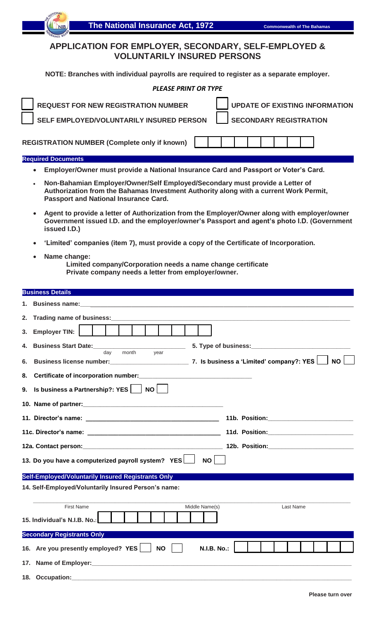## **APPLICATION FOR EMPLOYER, SECONDARY, SELF-EMPLOYED & VOLUNTARILY INSURED PERSONS**

**NOTE: Branches with individual payrolls are required to register as a separate employer.**

|    | <b>PLEASE PRINT OR TYPE</b>                                                                                                                                                                                                    |
|----|--------------------------------------------------------------------------------------------------------------------------------------------------------------------------------------------------------------------------------|
|    | <b>UPDATE OF EXISTING INFORMATION</b><br><b>REQUEST FOR NEW REGISTRATION NUMBER</b>                                                                                                                                            |
|    | SELF EMPLOYED/VOLUNTARILY INSURED PERSON<br><b>SECONDARY REGISTRATION</b>                                                                                                                                                      |
|    | <b>REGISTRATION NUMBER (Complete only if known)</b>                                                                                                                                                                            |
|    | <b>Required Documents</b>                                                                                                                                                                                                      |
|    | Employer/Owner must provide a National Insurance Card and Passport or Voter's Card.                                                                                                                                            |
|    | Non-Bahamian Employer/Owner/Self Employed/Secondary must provide a Letter of<br>Authorization from the Bahamas Investment Authority along with a current Work Permit,<br><b>Passport and National Insurance Card.</b>          |
|    | Agent to provide a letter of Authorization from the Employer/Owner along with employer/owner<br>Government issued I.D. and the employer/owner's Passport and agent's photo I.D. (Government<br>issued I.D.)                    |
|    | 'Limited' companies (item 7), must provide a copy of the Certificate of Incorporation.                                                                                                                                         |
|    | Name change:<br>Limited company/Corporation needs a name change certificate<br>Private company needs a letter from employer/owner.                                                                                             |
|    | <b>Business Details</b>                                                                                                                                                                                                        |
|    | <b>Business name:</b>                                                                                                                                                                                                          |
| 2. | Trading name of business:                                                                                                                                                                                                      |
| 3. | <b>Employer TIN:</b>                                                                                                                                                                                                           |
|    | 4. Business Start Date:<br>5. Type of business:                                                                                                                                                                                |
|    | month<br>day<br>year                                                                                                                                                                                                           |
| 6. | <b>NO</b>                                                                                                                                                                                                                      |
| 8. |                                                                                                                                                                                                                                |
| 9. | Is business a Partnership?: YES<br><b>NO</b>                                                                                                                                                                                   |
|    |                                                                                                                                                                                                                                |
|    |                                                                                                                                                                                                                                |
|    |                                                                                                                                                                                                                                |
|    |                                                                                                                                                                                                                                |
|    | 13. Do you have a computerized payroll system? YES<br>NO                                                                                                                                                                       |
|    | Self-Employed/Voluntarily Insured Registrants Only                                                                                                                                                                             |
|    | 14. Self-Employed/Voluntarily Insured Person's name:                                                                                                                                                                           |
|    | <b>First Name</b><br>Middle Name(s)<br>Last Name                                                                                                                                                                               |
|    | 15. Individual's N.I.B. No.:                                                                                                                                                                                                   |
|    | <b>Secondary Registrants Only</b>                                                                                                                                                                                              |
|    | 16. Are you presently employed? YES<br><b>N.I.B. No.:</b><br><b>NO</b>                                                                                                                                                         |
|    | 17. Name of Employer: example and a series of the series of the series of the series of the series of the series of the series of the series of the series of the series of the series of the series of the series of the seri |
|    |                                                                                                                                                                                                                                |